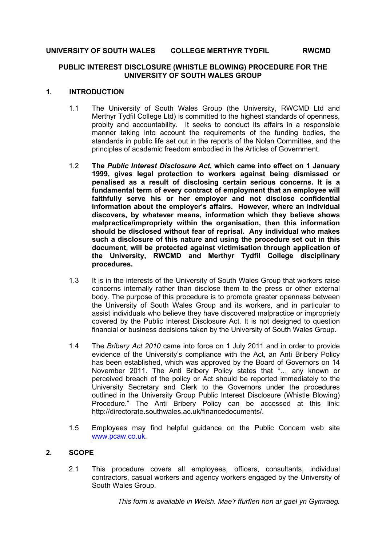#### **UNIVERSITY OF SOUTH WALES COLLEGE MERTHYR TYDFIL RWCMD**

#### **PUBLIC INTEREST DISCLOSURE (WHISTLE BLOWING) PROCEDURE FOR THE UNIVERSITY OF SOUTH WALES GROUP**

#### **1. INTRODUCTION**

- 1.1 The University of South Wales Group (the University, RWCMD Ltd and Merthyr Tydfil College Ltd) is committed to the highest standards of openness, probity and accountability. It seeks to conduct its affairs in a responsible manner taking into account the requirements of the funding bodies, the standards in public life set out in the reports of the Nolan Committee, and the principles of academic freedom embodied in the Articles of Government.
- 1.2 **The** *Public Interest Disclosure Act***, which came into effect on 1 January 1999, gives legal protection to workers against being dismissed or penalised as a result of disclosing certain serious concerns. It is a fundamental term of every contract of employment that an employee will faithfully serve his or her employer and not disclose confidential information about the employer's affairs. However, where an individual discovers, by whatever means, information which they believe shows malpractice/impropriety within the organisation, then this information should be disclosed without fear of reprisal. Any individual who makes such a disclosure of this nature and using the procedure set out in this document, will be protected against victimisation through application of the University, RWCMD and Merthyr Tydfil College disciplinary procedures.**
- 1.3 It is in the interests of the University of South Wales Group that workers raise concerns internally rather than disclose them to the press or other external body. The purpose of this procedure is to promote greater openness between the University of South Wales Group and its workers, and in particular to assist individuals who believe they have discovered malpractice or impropriety covered by the Public Interest Disclosure Act. It is not designed to question financial or business decisions taken by the University of South Wales Group.
- 1.4 The *Bribery Act 2010* came into force on 1 July 2011 and in order to provide evidence of the University's compliance with the Act, an Anti Bribery Policy has been established, which was approved by the Board of Governors on 14 November 2011. The Anti Bribery Policy states that "… any known or perceived breach of the policy or Act should be reported immediately to the University Secretary and Clerk to the Governors under the procedures outlined in the University Group Public Interest Disclosure (Whistle Blowing) Procedure." The Anti Bribery Policy can be accessed at this link: http://directorate.southwales.ac.uk/financedocuments/.
- 1.5 Employees may find helpful guidance on the Public Concern web site [www.pcaw.co.uk.](http://www.pcaw.co.uk/)

## **2. SCOPE**

2.1 This procedure covers all employees, officers, consultants, individual contractors, casual workers and agency workers engaged by the University of South Wales Group.

*This form is available in Welsh. Mae'r ffurflen hon ar gael yn Gymraeg.*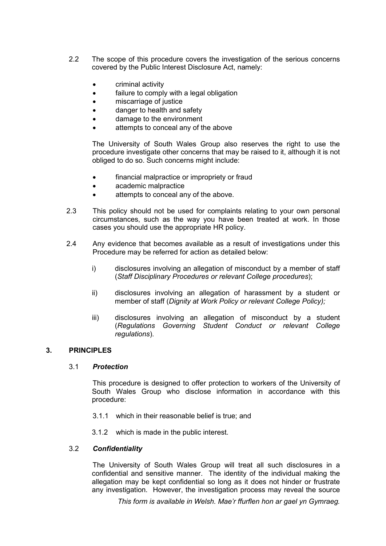- 2.2 The scope of this procedure covers the investigation of the serious concerns covered by the Public Interest Disclosure Act, namely:
	- criminal activity
	- failure to comply with a legal obligation
	- miscarriage of justice
	- danger to health and safety
	- damage to the environment
	- attempts to conceal any of the above

The University of South Wales Group also reserves the right to use the procedure investigate other concerns that may be raised to it, although it is not obliged to do so. Such concerns might include:

- financial malpractice or impropriety or fraud
- academic malpractice
- attempts to conceal any of the above.
- 2.3 This policy should not be used for complaints relating to your own personal circumstances, such as the way you have been treated at work. In those cases you should use the appropriate HR policy.
- 2.4 Any evidence that becomes available as a result of investigations under this Procedure may be referred for action as detailed below:
	- i) disclosures involving an allegation of misconduct by a member of staff (*Staff Disciplinary Procedures or relevant College procedures*);
	- ii) disclosures involving an allegation of harassment by a student or member of staff (*Dignity at Work Policy or relevant College Policy);*
	- iii) disclosures involving an allegation of misconduct by a student (*Regulations Governing Student Conduct or relevant College regulations*).

## **3. PRINCIPLES**

#### 3.1 *Protection*

This procedure is designed to offer protection to workers of the University of South Wales Group who disclose information in accordance with this procedure:

- 3.1.1 which in their reasonable belief is true; and
- 3.1.2 which is made in the public interest.

## 3.2 *Confidentiality*

The University of South Wales Group will treat all such disclosures in a confidential and sensitive manner. The identity of the individual making the allegation may be kept confidential so long as it does not hinder or frustrate any investigation. However, the investigation process may reveal the source

*This form is available in Welsh. Mae'r ffurflen hon ar gael yn Gymraeg.*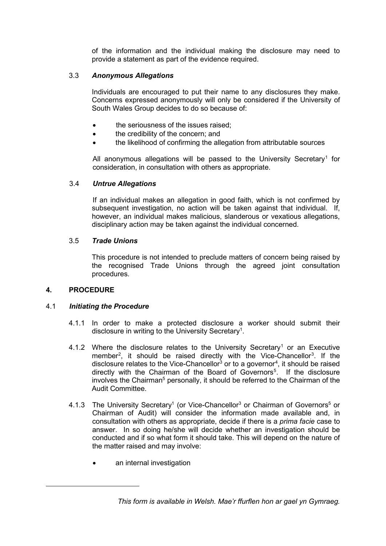of the information and the individual making the disclosure may need to provide a statement as part of the evidence required.

# 3.3 *Anonymous Allegations*

Individuals are encouraged to put their name to any disclosures they make. Concerns expressed anonymously will only be considered if the University of South Wales Group decides to do so because of:

- the seriousness of the issues raised;
- the credibility of the concern; and
- the likelihood of confirming the allegation from attributable sources

All anonymous allegations will be passed to the University Secretary<sup>[1](#page-4-0)</sup> for consideration, in consultation with others as appropriate.

## 3.4 *Untrue Allegations*

If an individual makes an allegation in good faith, which is not confirmed by subsequent investigation, no action will be taken against that individual. If, however, an individual makes malicious, slanderous or vexatious allegations, disciplinary action may be taken against the individual concerned.

## 3.5 *Trade Unions*

This procedure is not intended to preclude matters of concern being raised by the recognised Trade Unions through the agreed joint consultation procedures.

## **4. PROCEDURE**

## 4.1 *Initiating the Procedure*

- 4.1.1 In order to make a protected disclosure a worker should submit their disclosure in writing to the University Secretary $^{\rm 1}.$
- 4.[1](#page-2-0).2 Where the disclosure relates to the University Secretary<sup>1</sup> or an Executive member<sup>[2](#page-4-1)</sup>, it should be raised directly with the Vice-Chancellor<sup>[3](#page-4-2)</sup>. If the disclosure relates to the Vice-Chancellor<sup>3</sup> or to a governor<sup>[4](#page-4-3)</sup>, it should be raised directly with the Chairman of the Board of Governors<sup>[5](#page-4-4)</sup>. If the disclosure involves the Chairman<sup>5</sup> personally, it should be referred to the Chairman of the Audit Committee.
- <span id="page-2-0"></span>4.1.3 The University Secretary<sup>1</sup> (or Vice-Chancellor<sup>3</sup> or Chairman of Governors<sup>5</sup> or Chairman of Audit) will consider the information made available and, in consultation with others as appropriate, decide if there is a *prima facie* case to answer. In so doing he/she will decide whether an investigation should be conducted and if so what form it should take. This will depend on the nature of the matter raised and may involve:
	- an internal investigation

*This form is available in Welsh. Mae'r ffurflen hon ar gael yn Gymraeg.*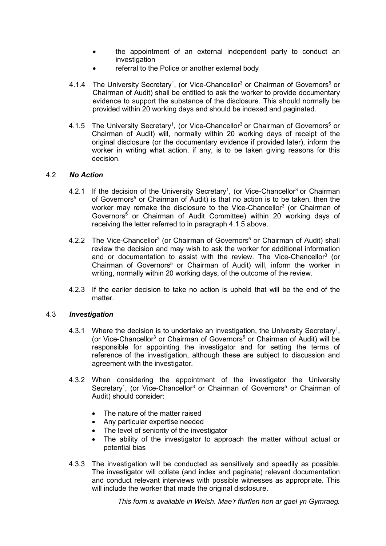- the appointment of an external independent party to conduct an investigation
- referral to the Police or another external body
- 4.1.4 The University Secretary<sup>1</sup>, (or Vice-Chancellor<sup>3</sup> or Chairman of Governors<sup>5</sup> or Chairman of Audit) shall be entitled to ask the worker to provide documentary evidence to support the substance of the disclosure. This should normally be provided within 20 working days and should be indexed and paginated.
- 4.1.5 The University Secretary<sup>1</sup>, (or Vice-Chancellor<sup>3</sup> or Chairman of Governors<sup>5</sup> or Chairman of Audit) will, normally within 20 working days of receipt of the original disclosure (or the documentary evidence if provided later), inform the worker in writing what action, if any, is to be taken giving reasons for this decision.

## 4.2 *No Action*

- 4.2.1 If the decision of the University Secretary<sup>1</sup>, (or Vice-Chancellor<sup>3</sup> or Chairman of Governors<sup>5</sup> or Chairman of Audit) is that no action is to be taken, then the worker may remake the disclosure to the Vice-Chancellor<sup>3</sup> (or Chairman of Governors5 or Chairman of Audit Committee) within 20 working days of receiving the letter referred to in paragraph 4.1.5 above.
- 4.2.2 The Vice-Chancellor<sup>3</sup> (or Chairman of Governors<sup>5</sup> or Chairman of Audit) shall review the decision and may wish to ask the worker for additional information and or documentation to assist with the review. The Vice-Chancellor<sup>3</sup> (or Chairman of Governors<sup>5</sup> or Chairman of Audit) will, inform the worker in writing, normally within 20 working days, of the outcome of the review.
- 4.2.3 If the earlier decision to take no action is upheld that will be the end of the matter.

#### 4.3 *Investigation*

- 4.3.1 Where the decision is to undertake an investigation, the University Secretary<sup>1</sup>, (or Vice-Chancellor<sup>3</sup> or Chairman of Governors<sup>5</sup> or Chairman of Audit) will be responsible for appointing the investigator and for setting the terms of reference of the investigation, although these are subject to discussion and agreement with the investigator.
- 4.3.2 When considering the appointment of the investigator the University Secretary<sup>1</sup>, (or Vice-Chancellor<sup>3</sup> or Chairman of Governors<sup>5</sup> or Chairman of Audit) should consider:
	- The nature of the matter raised
	- Any particular expertise needed
	- The level of seniority of the investigator
	- The ability of the investigator to approach the matter without actual or potential bias
- 4.3.3 The investigation will be conducted as sensitively and speedily as possible. The investigator will collate (and index and paginate) relevant documentation and conduct relevant interviews with possible witnesses as appropriate. This will include the worker that made the original disclosure.

*This form is available in Welsh. Mae'r ffurflen hon ar gael yn Gymraeg.*